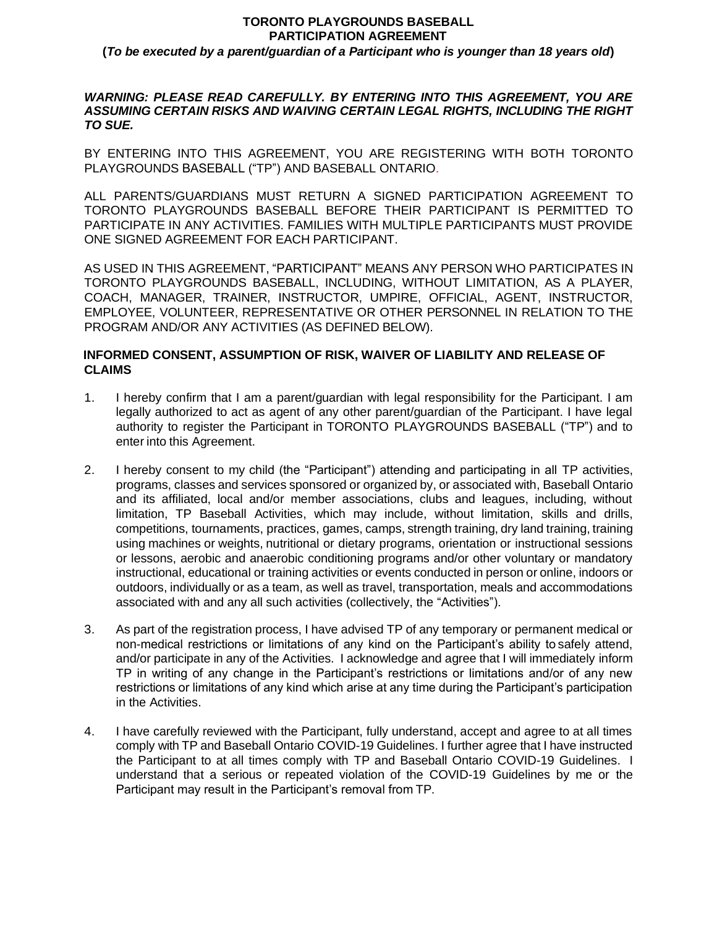# **TORONTO PLAYGROUNDS BASEBALL PARTICIPATION AGREEMENT**

**(***To be executed by a parent/guardian of a Participant who is younger than 18 years old***)**

#### *WARNING: PLEASE READ CAREFULLY. BY ENTERING INTO THIS AGREEMENT, YOU ARE ASSUMING CERTAIN RISKS AND WAIVING CERTAIN LEGAL RIGHTS, INCLUDING THE RIGHT TO SUE.*

BY ENTERING INTO THIS AGREEMENT, YOU ARE REGISTERING WITH BOTH TORONTO PLAYGROUNDS BASEBALL ("TP") AND BASEBALL ONTARIO.

ALL PARENTS/GUARDIANS MUST RETURN A SIGNED PARTICIPATION AGREEMENT TO TORONTO PLAYGROUNDS BASEBALL BEFORE THEIR PARTICIPANT IS PERMITTED TO PARTICIPATE IN ANY ACTIVITIES. FAMILIES WITH MULTIPLE PARTICIPANTS MUST PROVIDE ONE SIGNED AGREEMENT FOR EACH PARTICIPANT.

AS USED IN THIS AGREEMENT, "PARTICIPANT" MEANS ANY PERSON WHO PARTICIPATES IN TORONTO PLAYGROUNDS BASEBALL, INCLUDING, WITHOUT LIMITATION, AS A PLAYER, COACH, MANAGER, TRAINER, INSTRUCTOR, UMPIRE, OFFICIAL, AGENT, INSTRUCTOR, EMPLOYEE, VOLUNTEER, REPRESENTATIVE OR OTHER PERSONNEL IN RELATION TO THE PROGRAM AND/OR ANY ACTIVITIES (AS DEFINED BELOW).

### **INFORMED CONSENT, ASSUMPTION OF RISK, WAIVER OF LIABILITY AND RELEASE OF CLAIMS**

- 1. I hereby confirm that I am a parent/guardian with legal responsibility for the Participant. I am legally authorized to act as agent of any other parent/guardian of the Participant. I have legal authority to register the Participant in TORONTO PLAYGROUNDS BASEBALL ("TP") and to enter into this Agreement.
- 2. I hereby consent to my child (the "Participant") attending and participating in all TP activities, programs, classes and services sponsored or organized by, or associated with, Baseball Ontario and its affiliated, local and/or member associations, clubs and leagues, including, without limitation, TP Baseball Activities, which may include, without limitation, skills and drills, competitions, tournaments, practices, games, camps, strength training, dry land training, training using machines or weights, nutritional or dietary programs, orientation or instructional sessions or lessons, aerobic and anaerobic conditioning programs and/or other voluntary or mandatory instructional, educational or training activities or events conducted in person or online, indoors or outdoors, individually or as a team, as well as travel, transportation, meals and accommodations associated with and any all such activities (collectively, the "Activities").
- 3. As part of the registration process, I have advised TP of any temporary or permanent medical or non-medical restrictions or limitations of any kind on the Participant's ability to safely attend, and/or participate in any of the Activities. I acknowledge and agree that I will immediately inform TP in writing of any change in the Participant's restrictions or limitations and/or of any new restrictions or limitations of any kind which arise at any time during the Participant's participation in the Activities.
- 4. I have carefully reviewed with the Participant, fully understand, accept and agree to at all times comply with TP and Baseball Ontario COVID-19 Guidelines. I further agree that I have instructed the Participant to at all times comply with TP and Baseball Ontario COVID-19 Guidelines. I understand that a serious or repeated violation of the COVID-19 Guidelines by me or the Participant may result in the Participant's removal from TP.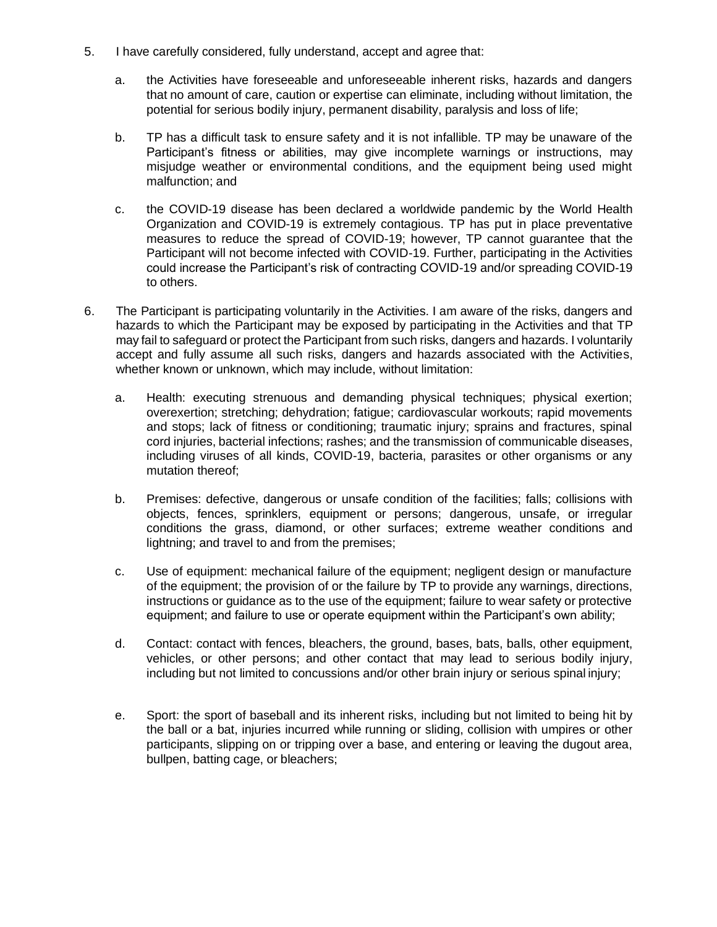- 5. I have carefully considered, fully understand, accept and agree that:
	- a. the Activities have foreseeable and unforeseeable inherent risks, hazards and dangers that no amount of care, caution or expertise can eliminate, including without limitation, the potential for serious bodily injury, permanent disability, paralysis and loss of life;
	- b. TP has a difficult task to ensure safety and it is not infallible. TP may be unaware of the Participant's fitness or abilities, may give incomplete warnings or instructions, may misjudge weather or environmental conditions, and the equipment being used might malfunction; and
	- c. the COVID-19 disease has been declared a worldwide pandemic by the World Health Organization and COVID-19 is extremely contagious. TP has put in place preventative measures to reduce the spread of COVID-19; however, TP cannot guarantee that the Participant will not become infected with COVID-19. Further, participating in the Activities could increase the Participant's risk of contracting COVID-19 and/or spreading COVID-19 to others.
- 6. The Participant is participating voluntarily in the Activities. I am aware of the risks, dangers and hazards to which the Participant may be exposed by participating in the Activities and that TP may fail to safeguard or protect the Participant from such risks, dangers and hazards. I voluntarily accept and fully assume all such risks, dangers and hazards associated with the Activities, whether known or unknown, which may include, without limitation:
	- a. Health: executing strenuous and demanding physical techniques; physical exertion; overexertion; stretching; dehydration; fatigue; cardiovascular workouts; rapid movements and stops; lack of fitness or conditioning; traumatic injury; sprains and fractures, spinal cord injuries, bacterial infections; rashes; and the transmission of communicable diseases, including viruses of all kinds, COVID-19, bacteria, parasites or other organisms or any mutation thereof;
	- b. Premises: defective, dangerous or unsafe condition of the facilities; falls; collisions with objects, fences, sprinklers, equipment or persons; dangerous, unsafe, or irregular conditions the grass, diamond, or other surfaces; extreme weather conditions and lightning; and travel to and from the premises;
	- c. Use of equipment: mechanical failure of the equipment; negligent design or manufacture of the equipment; the provision of or the failure by TP to provide any warnings, directions, instructions or guidance as to the use of the equipment; failure to wear safety or protective equipment; and failure to use or operate equipment within the Participant's own ability;
	- d. Contact: contact with fences, bleachers, the ground, bases, bats, balls, other equipment, vehicles, or other persons; and other contact that may lead to serious bodily injury, including but not limited to concussions and/or other brain injury or serious spinal injury;
	- e. Sport: the sport of baseball and its inherent risks, including but not limited to being hit by the ball or a bat, injuries incurred while running or sliding, collision with umpires or other participants, slipping on or tripping over a base, and entering or leaving the dugout area, bullpen, batting cage, or bleachers;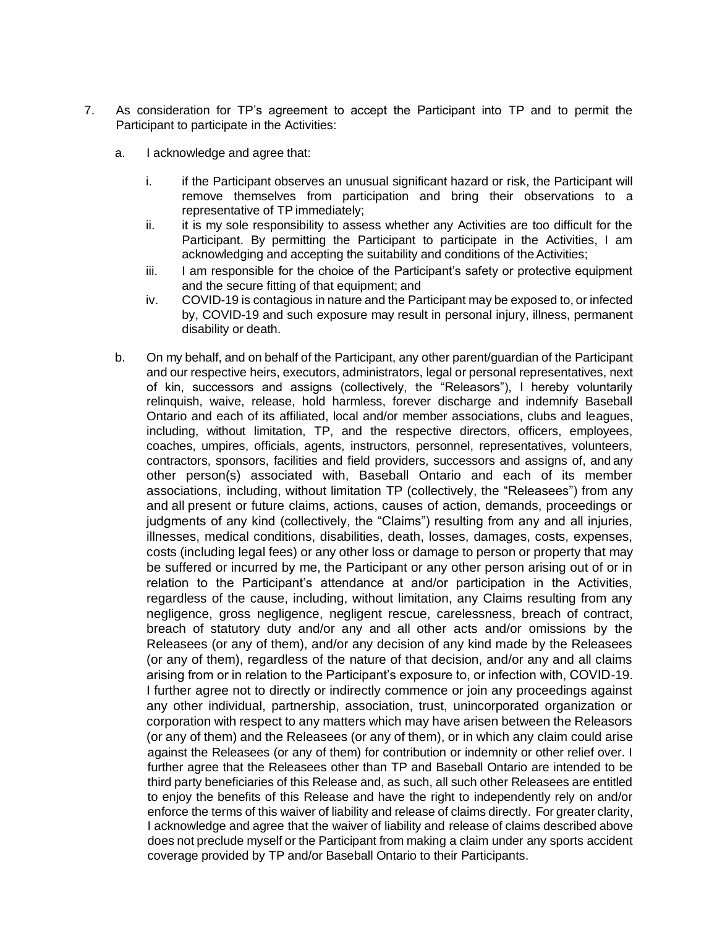- 7. As consideration for TP's agreement to accept the Participant into TP and to permit the Participant to participate in the Activities:
	- a. I acknowledge and agree that:
		- i. if the Participant observes an unusual significant hazard or risk, the Participant will remove themselves from participation and bring their observations to a representative of TP immediately;
		- ii. it is my sole responsibility to assess whether any Activities are too difficult for the Participant. By permitting the Participant to participate in the Activities, I am acknowledging and accepting the suitability and conditions of the Activities;
		- iii. I am responsible for the choice of the Participant's safety or protective equipment and the secure fitting of that equipment; and
		- iv. COVID-19 is contagious in nature and the Participant may be exposed to, or infected by, COVID-19 and such exposure may result in personal injury, illness, permanent disability or death.
	- b. On my behalf, and on behalf of the Participant, any other parent/guardian of the Participant and our respective heirs, executors, administrators, legal or personal representatives, next of kin, successors and assigns (collectively, the "Releasors"), I hereby voluntarily relinquish, waive, release, hold harmless, forever discharge and indemnify Baseball Ontario and each of its affiliated, local and/or member associations, clubs and leagues, including, without limitation, TP, and the respective directors, officers, employees, coaches, umpires, officials, agents, instructors, personnel, representatives, volunteers, contractors, sponsors, facilities and field providers, successors and assigns of, and any other person(s) associated with, Baseball Ontario and each of its member associations, including, without limitation TP (collectively, the "Releasees") from any and all present or future claims, actions, causes of action, demands, proceedings or judgments of any kind (collectively, the "Claims") resulting from any and all injuries, illnesses, medical conditions, disabilities, death, losses, damages, costs, expenses, costs (including legal fees) or any other loss or damage to person or property that may be suffered or incurred by me, the Participant or any other person arising out of or in relation to the Participant's attendance at and/or participation in the Activities, regardless of the cause, including, without limitation, any Claims resulting from any negligence, gross negligence, negligent rescue, carelessness, breach of contract, breach of statutory duty and/or any and all other acts and/or omissions by the Releasees (or any of them), and/or any decision of any kind made by the Releasees (or any of them), regardless of the nature of that decision, and/or any and all claims arising from or in relation to the Participant's exposure to, or infection with, COVID-19. I further agree not to directly or indirectly commence or join any proceedings against any other individual, partnership, association, trust, unincorporated organization or corporation with respect to any matters which may have arisen between the Releasors (or any of them) and the Releasees (or any of them), or in which any claim could arise against the Releasees (or any of them) for contribution or indemnity or other relief over. I further agree that the Releasees other than TP and Baseball Ontario are intended to be third party beneficiaries of this Release and, as such, all such other Releasees are entitled to enjoy the benefits of this Release and have the right to independently rely on and/or enforce the terms of this waiver of liability and release of claims directly. For greater clarity, I acknowledge and agree that the waiver of liability and release of claims described above does not preclude myself or the Participant from making a claim under any sports accident coverage provided by TP and/or Baseball Ontario to their Participants.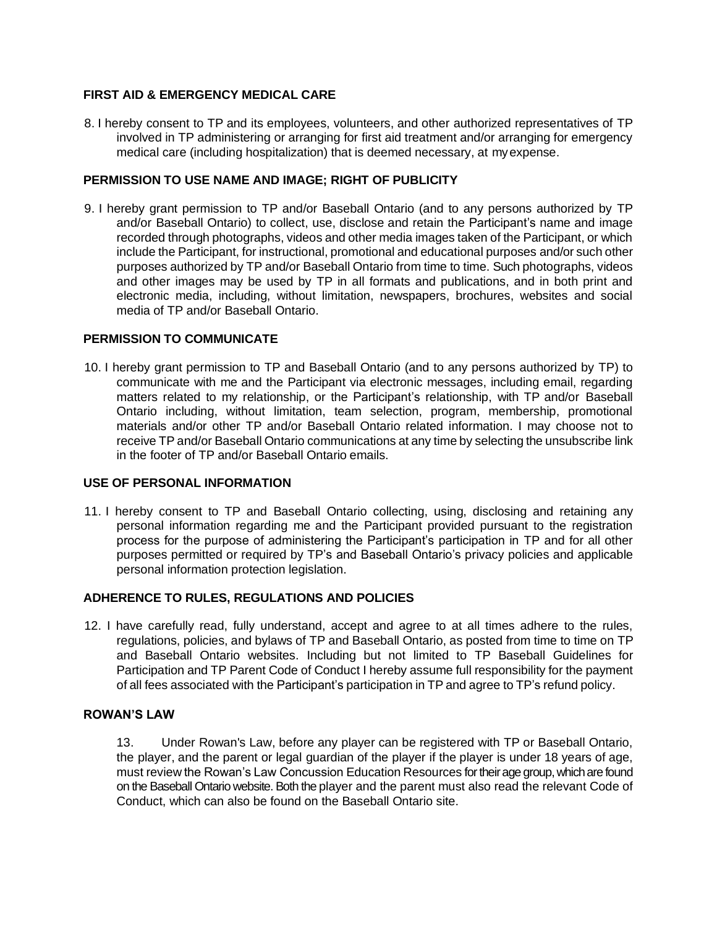### **FIRST AID & EMERGENCY MEDICAL CARE**

8. I hereby consent to TP and its employees, volunteers, and other authorized representatives of TP involved in TP administering or arranging for first aid treatment and/or arranging for emergency medical care (including hospitalization) that is deemed necessary, at myexpense.

# **PERMISSION TO USE NAME AND IMAGE; RIGHT OF PUBLICITY**

9. I hereby grant permission to TP and/or Baseball Ontario (and to any persons authorized by TP and/or Baseball Ontario) to collect, use, disclose and retain the Participant's name and image recorded through photographs, videos and other media images taken of the Participant, or which include the Participant, for instructional, promotional and educational purposes and/or such other purposes authorized by TP and/or Baseball Ontario from time to time. Such photographs, videos and other images may be used by TP in all formats and publications, and in both print and electronic media, including, without limitation, newspapers, brochures, websites and social media of TP and/or Baseball Ontario.

# **PERMISSION TO COMMUNICATE**

10. I hereby grant permission to TP and Baseball Ontario (and to any persons authorized by TP) to communicate with me and the Participant via electronic messages, including email, regarding matters related to my relationship, or the Participant's relationship, with TP and/or Baseball Ontario including, without limitation, team selection, program, membership, promotional materials and/or other TP and/or Baseball Ontario related information. I may choose not to receive TP and/or Baseball Ontario communications at any time by selecting the unsubscribe link in the footer of TP and/or Baseball Ontario emails.

### **USE OF PERSONAL INFORMATION**

11. I hereby consent to TP and Baseball Ontario collecting, using, disclosing and retaining any personal information regarding me and the Participant provided pursuant to the registration process for the purpose of administering the Participant's participation in TP and for all other purposes permitted or required by TP's and Baseball Ontario's privacy policies and applicable personal information protection legislation.

### **ADHERENCE TO RULES, REGULATIONS AND POLICIES**

12. I have carefully read, fully understand, accept and agree to at all times adhere to the rules, regulations, policies, and bylaws of TP and Baseball Ontario, as posted from time to time on TP and Baseball Ontario websites. Including but not limited to TP Baseball Guidelines for Participation and TP Parent Code of Conduct I hereby assume full responsibility for the payment of all fees associated with the Participant's participation in TP and agree to TP's refund policy.

### **ROWAN'S LAW**

13. Under Rowan's Law, before any player can be registered with TP or Baseball Ontario, the player, and the parent or legal guardian of the player if the player is under 18 years of age, must review the Rowan's Law Concussion Education Resources for their age group, which are found on the Baseball Ontario website. Both the player and the parent must also read the relevant Code of Conduct, which can also be found on the Baseball Ontario site.